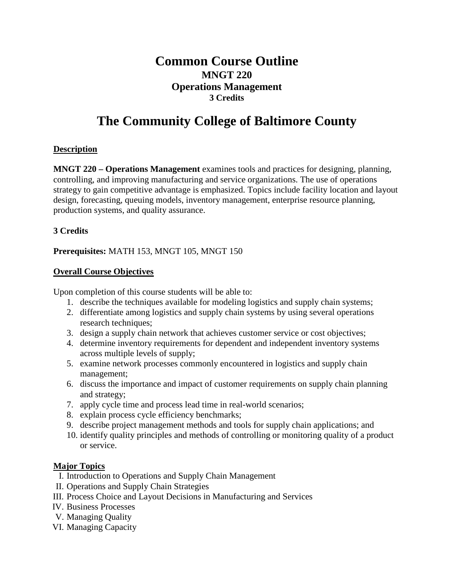# **Common Course Outline MNGT 220 Operations Management 3 Credits**

# **The Community College of Baltimore County**

# **Description**

**MNGT 220 – Operations Management** examines tools and practices for designing, planning, controlling, and improving manufacturing and service organizations. The use of operations strategy to gain competitive advantage is emphasized. Topics include facility location and layout design, forecasting, queuing models, inventory management, enterprise resource planning, production systems, and quality assurance.

# **3 Credits**

#### **Prerequisites:** MATH 153, MNGT 105, MNGT 150

# **Overall Course Objectives**

Upon completion of this course students will be able to:

- 1. describe the techniques available for modeling logistics and supply chain systems;
- 2. differentiate among logistics and supply chain systems by using several operations research techniques;
- 3. design a supply chain network that achieves customer service or cost objectives;
- 4. determine inventory requirements for dependent and independent inventory systems across multiple levels of supply;
- 5. examine network processes commonly encountered in logistics and supply chain management;
- 6. discuss the importance and impact of customer requirements on supply chain planning and strategy;
- 7. apply cycle time and process lead time in real-world scenarios;
- 8. explain process cycle efficiency benchmarks;
- 9. describe project management methods and tools for supply chain applications; and
- 10. identify quality principles and methods of controlling or monitoring quality of a product or service.

#### **Major Topics**

- I. Introduction to Operations and Supply Chain Management
- II. Operations and Supply Chain Strategies
- III. Process Choice and Layout Decisions in Manufacturing and Services
- IV. Business Processes
- V. Managing Quality
- VI. Managing Capacity